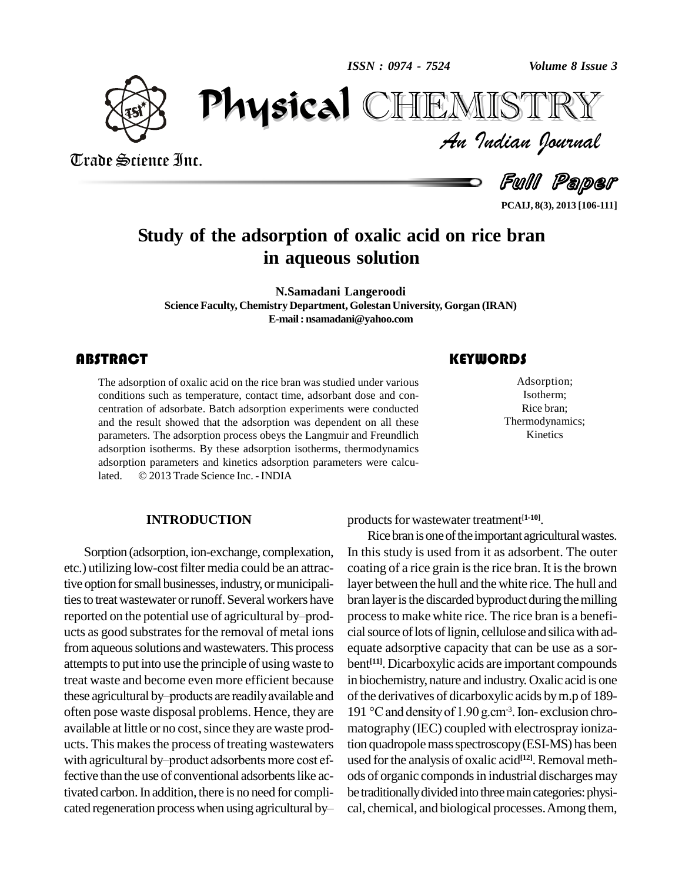*ISSN : 0974 - 7524*

*Volume 8 Issue 3*



Trade Science Inc.

Trade Science Inc.

 $\mathbf{P}_{\mathbf{A}}$  CHEMISTRY CHEMISTRY *Volume 8 Issue 3*<br>IISTRY<br>Indian Iournal

Full Paper

**PCAIJ, 8(3), 2013 [106-111]**

## **Study of the adsorption of oxalic acid on rice bran in aqueous solution**

**N.Samadani Langeroodi Science Faculty, Chemistry Department, Golestan University, Gorgan (IRAN) E-mail: [nsamadani@yahoo.com](mailto:nsamadani@yahoo.com)**

#### **ABSTRACT**

The adsorption of oxalic acid on the rice bran was studied under various conditions such as temperature, contact time, adsorbant dose and concentration of adsorbate. Batch adsorption experiments were conducted The adsorption of oxalic acid on the rice bran was studied under various conditions such as temperature, contact time, adsorbant dose and con and the result showed that the adsorption was dependent on all these parameters. The adsorption process obeys the Langmuir and Freundlich adsorption isotherms. By these adsorption isotherms, thermodynamics adsorption parameters and kinetics adsorption parameters were calcuadsorption isotherms. By these adsorption isotherms, thadsorption parameters and kinetics adsorption parameters and isothermical atted.  $\odot$  2013 Trade Science Inc. - INDIA

#### **INTRODUCTION**

Sorption (adsorption, ion-exchange, complexation, etc.) utilizing low-cost filter media could be an attractive option for small businesses, industry, or municipali-<br>ties to treat wastewater or runoff. Several workers have brar<br>reported on the potential use of agricultural by–prodties to treat wastewater or runoff. Several workers have ucts as good substrates for the removal of metal ions from aqueous solutions and wastewaters. This process attempts to put into use the principle of using waste to bent<sup>[11]</sup><br>treat waste and become even more efficient because in biocl<br>these agricultural by–products are readily available and of the c treat waste and become even more efficient because often pose waste disposal problems. Hence, they are available at little or no cost, since they are waste prod-<br>ucts. This makes the process of treating wastewaters tion<br>with agricultural by–product adsorbents more cost efucts. This makes the process of treating wastewaters fective than the use of conventional adsorbents like activated carbon. In addition, there is no need for complicated regeneration process when using agricultural by-

Adsorption;<br>
Isotherm;<br>
Rice bran; Adsorption; Isotherm; Rice bran; Thermodynamics; Kinetics

products for wastewater treatment<sup>[1-10]</sup>.

Rice bran is one of the important agricultural wastes. In this study is used from it as adsorbent. The outer coating of a rice grain is the rice bran. It is the brown layer between the hull and the white rice.The hull and bran layer is the discarded byproduct during the milling processto make white rice. The rice bran is a benefi cial source of lots of lignin, cellulose and silica with adequate adsorptive capacity that can be use as a sor bent **[11]**. Dicarboxylic acids are important compounds in biochemistry, nature and industry. Oxalic acid is one<br>of the derivatives of dicarboxylic acids by m.p of 189-<br>191 °C and density of 1.90 g.cm<sup>-3</sup>. Ion- exclusion chroof the derivatives of dicarboxylic acids by m.p of 189-191 °C and density of 1.90 g.cm<sup>-3</sup>. Ion-exclusion chromatography (IEC) coupled with electrospray ionization quadropole mass spectroscopy (ESI-MS) has been used for the analysis of oxalic acid<sup>[12]</sup>. Removal methods of organic componds in industrial discharges may be traditionally divided into three main categories: physical, chemical, and biological processes.Among them,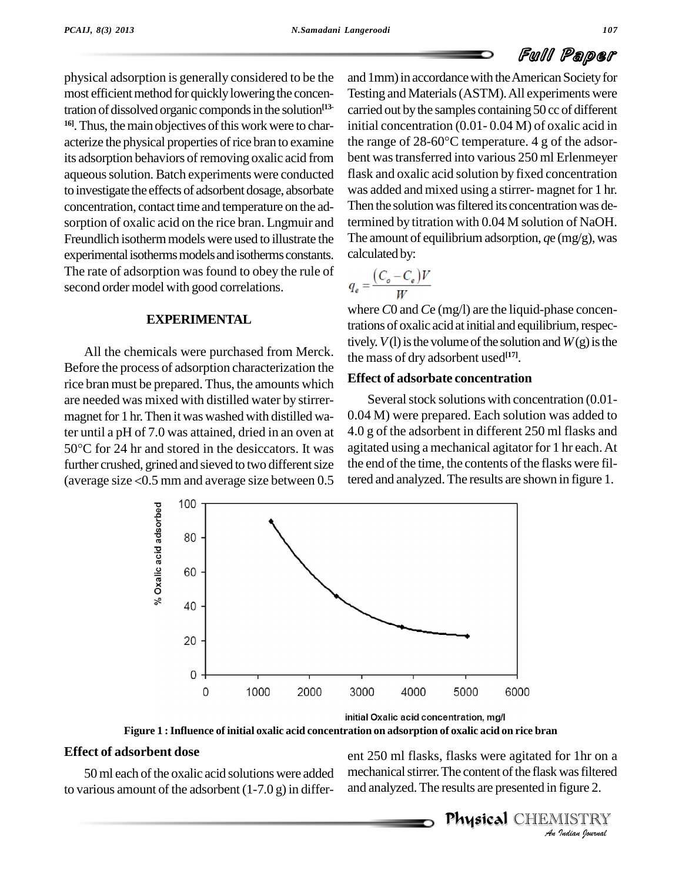physical adsorption isgenerally considered to be the most efficient method for quickly lowering the concentration of dissolved organic componds in the solution<sup>[13-</sup> carrie <sup>16]</sup>. Thus, the main objectives of this work were to characterize the physical properties of rice bran to examine the range of  $28-60^{\circ}$ C temperature. 4 g of the adsorits adsorption behaviors of removing oxalic acid from aqueous solution. Batch experiments were conducted to investigate the effects of adsorbent dosage, absorbate concentration, contact time and temperature on the ad sorption of oxalic acid on the rice bran. Lngmuir and Freundlich isotherm models were used to illustrate the experimental isotherms models and isotherms constants. The rate of adsorption was found to obey the rule of second order model with good correlations.

#### **EXPERIMENTAL**

All the chemicals were purchased from Merck. Before the process of adsorption characterization the rice bran must be prepared. Thus, the amounts which are needed was mixed with distilled water by stirrer magnet for 1 hr. Then it was washed with distilled water until a pH of 7.0 was attained, dried in an oven at  $-4.0$  g magnet for 1 hr. Then it was washed with distilled wa-<br>ter until a pH of 7.0 was attained, dried in an oven at  $4.0 \text{ g}$ <br>50°C for 24 hr and stored in the desiccators. It was agita further crushed, grined and sieved to two different size the en 50 $^{\circ}$ C for 24 hr and stored in the desiccators. It was agitate further crushed, grined and sieved to two different size the end (average size  $<$  0.5 mm and average size between 0.5 tered at

and 1mm) in accordance with the American Society for Testing and Materials(ASTM).All experiments were carried out by the samples containing 50 cc of different<br>initial concentration (0.01-0.04 M) of oxalic acid in<br>the range of 28-60°C temperature. 4 g of the adsorinitial concentration (0.01- 0.04 M) of oxalic acid in bent wastransferred into various 250 ml Erlenmeyer flask and oxalic acid solution by fixed concentration was added and mixed using a stirrer-magnet for 1 hr. Then the solution was filtered its concentration was determined by titration with 0.04 M solution of NaOH. The amount of equilibrium adsorption,  $q$ e (mg/g), was calculated by:

$$
q_e = \frac{(C_o - C_e)V}{W}
$$

where*C*0 and *C*e (mg/l) are the liquid-phase concentrations of oxalic acid at initial and equilibrium, respectively.  $V(1)$  is the volume of the solution and  $W(g)$  is the the mass of dry adsorbent used **[17]**.

#### **Effect of adsorbate concentration**

Several stock solutions with concentration (0.01-0.04 M) were prepared. Each solution was added to 4.0 g of the adsorbent in different 250 ml flasks and agitated using a mechanical agitator for 1 hr each.At the end of the time, the contents of the flasks were filtered and analyzed.The results are shown in figure 1.



initial Oxalic acid concentration, mg/l *An***Figure 1 :Influence of initial oxalic acid concentration on adsorption of oxalic acid on rice bran**

50ml each ofthe oxalic acid solutionswere added to various amount of the adsorbent  $(1-7.0 g)$  in differ- and analyzed. The results are presented in figure 2.

*Indian*<br> *Indian*<br> *IISTRY*<br> *IISTRY*<br> *Indian bouvaal* ent 250 ml flasks, flasks were agitated for 1hr on a mechanical stirrer. The content of the flask was filtered **and analyzed.** The results are presented in figure 2.<br>50 ml each of the oxalic acid solutions were added mechanical stirrer. The content of the flask was filtered<br>to various amount of the adsorbent  $(1-7.0 g)$  in differ- a

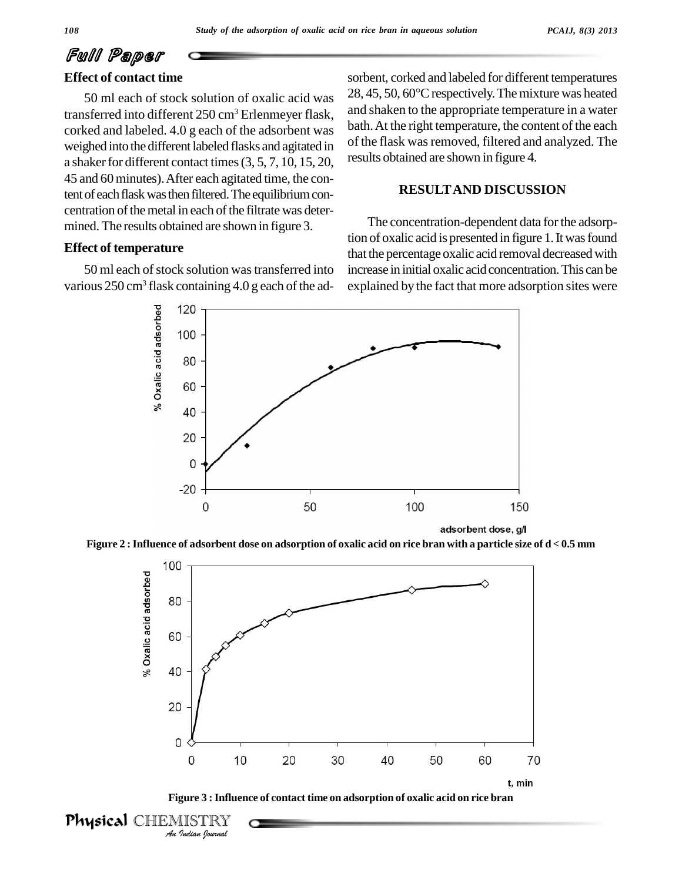# Full Paper

## **Effect of contact time**

50 ml each of stock solution of oxalic acid was transferred into different 250 cm<sup>3</sup> Erlenmeyer flask, corked and labeled. 4.0 g each of the adsorbent was weighed into the different labeled flasks and agitated in a shaker for different contact times  $(3, 5, 7, 10, 15, 20,$ 45 and 60minutes).After each agitated time, the content of each flask was then filtered. The equilibrium concentration of the metal in each of the filtrate was determined. The results obtained are shown in figure 3.

#### **Effect of temperature**

50 ml each of stock solution was transferred into various 250 cm<sup>3</sup> flask containing 4.0 g each of the adsorbent, corked and labeled for different temperatures  $28, 45, 50, 60^{\circ}$ C respectively. The mixture was heated and shaken to the appropriate temperature in a water bath.At the right temperature, the content of the each of the flask was removed, filtered and analyzed. The results obtained are shown in figure 4.

#### **RESULTAND DISCUSSION**

The concentration-dependent data for the adsorption of oxalic acid is presented in figure 1. It was found that the percentage oxalic acid removal decreased with increase in initial oxalic acid concentration. This can be explained by the fact that more adsorption sites were



adsorbent dose, a/l







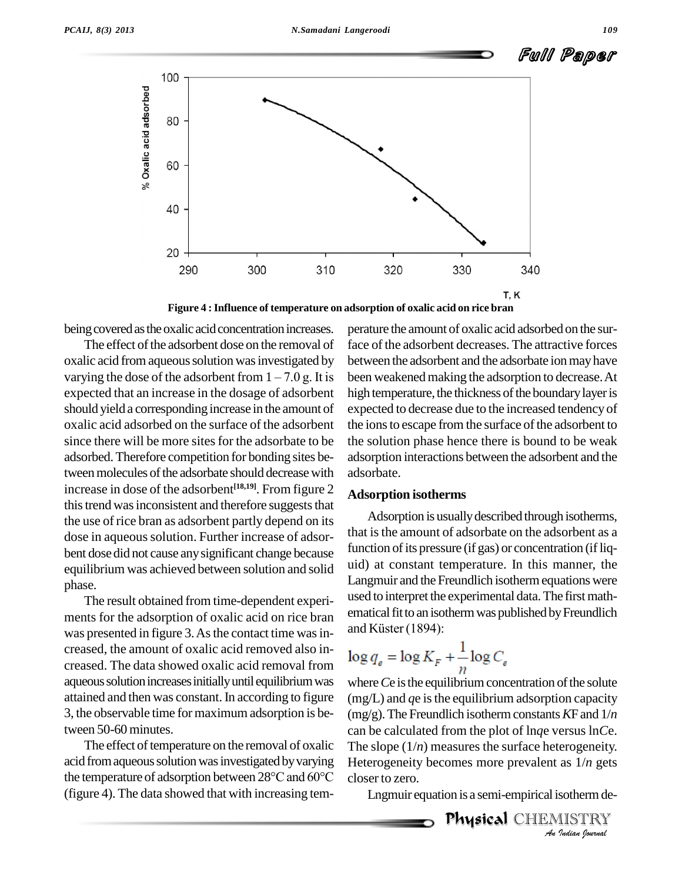

**Figure 4 :Influence of temperature on adsorption of oxalic acid on rice bran**

being covered as the oxalic acid concentration increases.

The effect of the adsorbent dose on the removal of oxalic acid from aqueous solution was investigated by betwee The effect of the adsorbent dose on the removal of face<br>oxalic acid from aqueous solution was investigated by betw<br>varying the dose of the adsorbent from  $1 - 7.0$  g. It is been expected that an increase in the dosage of adsorbent should yield a corresponding increase in the amount of oxalic acid adsorbed on the surface of the adsorbent since there will be more sites for the adsorbate to be adsorbed.Therefore competition for bonding sites between molecules of the adsorbate should decrease with increase in dose of the adsorbent **[18,19]**. From figure 2 this trend was inconsistent and therefore suggests that the use of rice bran as adsorbent partly depend on its dose in aqueous solution. Further increase of adsorbent dose did not cause anysignificant change because equilibrium was achieved between solution and solid phase.

The result obtained from time-dependent experi ments for the adsorption of oxalic acid on rice bran<br>was presented in figure 3. As the contact time was in-<br>and Küster (1894): was presented in figure 3. As the contact time was increased, the amount of oxalic acid removed also in creased. The data showed oxalic acid removal from aqueous solution increases initially until equilibrium was attained and then was constant.In according to figure 3, the observable time for maximum adsorption is between 50-60 minutes.

The effect of temperature on the removal of oxalic acid from aqueous solution was investigated by varying the temperature of adsorption between 28°C and 60°C (figure 4). The data showed that with increasing tem-

perature the amount of oxalic acid adsorbed on the surface of the adsorbent decreases. The attractive forces between the adsorbent and the adsorbate ion may have been weakened making the adsorption to decrease. At high temperature, the thickness of the boundary layer is expected to decrease due to the increased tendency of the ions to escape from the surface of the adsorbent to the solution phase hence there is bound to be weak adsorption interactions between the adsorbent and the adsorbate.

#### **Adsorption isotherms**

Adsorption is usually described through isotherms, that is the amount of adsorbate on the adsorbent as a function of its pressure (if gas) or concentration (if liquid) at constant temperature. In this manner, the Langmuir and the Freundlich isotherm equations were used to interpret the experimental data. The first mathematical fit to an isotherm was published by Freundlich used to interpret the expe<br>ematical fit to an isotherm<br>and Küster (1894):

$$
\log q_e = \log K_F + \frac{1}{n} \log C_e
$$

*And SC CREVALUATE IS THE RIFE PIPER LIFE AND HIS HIS HIS LIFE*. *Indian*<br>*Ingets*<br>*IISTRY*<br>*Indian bouvad* where *C*e is the equilibrium concentration of the solute  $(mg/L)$  and  $qe$  is the equilibrium adsorption capacity  $(mg/g)$ . The Freundlich isotherm constants *KF* and  $1/n$ can be calculated from the plot of ln*q*e versus ln*C*e. Heterogeneity becomes more prevalent as 1/*n* gets closer to zero.

Lngmuir equation is a semi-empirical isothermde-

Physical CHEMISTRY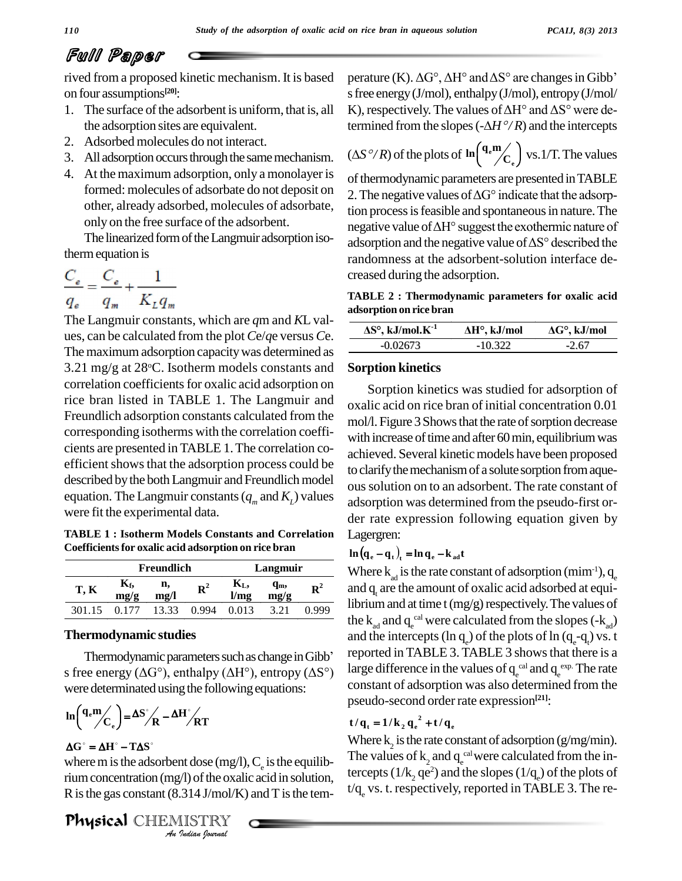## Full Paper

rived from a proposed kinetic mechanism. It is based on four assumptions **[20]**:

- 1. The surface of the adsorbent is uniform, that is, all the adsorption sites are equivalent.
- 2. Adsorbed molecules do not interact.
- 3. All adsorption occurs through the same mechanism.
- 4. At the maximum adsorption, only a monolayer is formed: molecules of adsorbate do not deposit on other, already adsorbed, molecules of adsorbate, only on the free surface of the adsorbent.

The linearized form of the Langmuir adsorption isothermequation is

$$
\frac{C_e}{q_e} = \frac{C_e}{q_m} + \frac{1}{K_L q_m}
$$

The Langmuir constants, which are *q*m and *K*L val ues, can be calculated from the plot *C*e/*q*e versus *C*e. The maximum adsorption capacity was determined as 3.21 mg/g at  $28^{\circ}$ C. Isotherm models constants and Sorption correlation coefficients for oxalic acid adsorption on rice bran listed in TABLE 1. The Langmuir and Freundlich adsorption constants calculated from the corresponding isotherms with the correlation coeffi cients are presented in TABLE 1.The correlation co efficient shows that the adsorption process could be described by the both Langmuir and Freundlich model equation. The Langmuir constants ( $q<sub>m</sub>$  and  $K<sub>L</sub>$ ) values were fit the experimental data.

**TABLE 1 : Isotherm Models Constants and Correlation Coefficientsfor oxalic acid adsorption on rice bran**

|        |                        | Freundlich |             | Langmuir   |                 |             |
|--------|------------------------|------------|-------------|------------|-----------------|-------------|
| T, K   | $K_{\text{f}}$<br>mg/g | n,<br>me/l | ${\bf R}^2$ | К,<br>1/mg | $q_{m}$<br>mg/g | ${\bf R}^2$ |
| 301.15 |                        | 13.33      | 0.994       | 0.013      | 3.21            | 0.999       |

#### **Thermodynamic studies**

Thermodynamic parameters such as change in Gibb<sup>7</sup> s free energy ( $\Delta G^{\circ}$ ), enthalpy ( $\Delta H^{\circ}$ ), entropy ( $\Delta S^{\circ}$ ) were determinated using the following equations:<br> $\ln\left(\frac{q_e m}{q}\right) = \Delta S^2 \left(1 - \Delta H^2\right)$ ere detern .<br>د

$$
\ln\left(\frac{q_{\rm e}m}{C_{\rm e}}\right) = \Delta S^{\circ} / \sqrt{R} - \Delta H^{\circ} / \sqrt{RT}
$$

### $\Delta G^{\circ} = \Delta H^{\circ} - T \Delta S^{\circ}$

**Indiana Conduct Conduct A**<br>*Indian Journal I*s<br>**IISTRY**<br>*Indian Iournal* where m is the adsorbent dose (mg/l),  $C_e$  is the equilibrium concentration (mg/l) of the oxalic acid in solution, R is the gas constant  $(8.314 \text{ J/mol/K})$  and T is the tem-

Physical CHEMISTRY

perature (K).  $\Delta G^{\circ}$ ,  $\Delta H^{\circ}$  and  $\Delta S^{\circ}$  are changes in Gibb<sup>'</sup> s free energy (J/mol), enthalpy (J/mol), entropy (J/mol/ perature (K).  $\Delta G^{\circ}$ ,  $\Delta H^{\circ}$  and  $\Delta S^{\circ}$  are changes in Gibb'<br>s free energy (J/mol), enthalpy (J/mol), entropy (J/mol/<br>K), respectively. The values of  $\Delta H^{\circ}$  and  $\Delta S^{\circ}$  were des free energy (J/mol), enthalpy (J/mol), entropy (J/mol/<br>K), respectively. The values of  $\Delta H^{\circ}$  and  $\Delta S^{\circ}$  were determined from the slopes ( $-\Delta H^{\circ}/R$ ) and the intercepts  $(-\Delta H^o/R)$  $\overline{\mathcal{L}}$ 

termined from the slopes 
$$
(-\Delta H^{\circ}/R)
$$
 and the intercepts  
 $(\Delta S^{\circ}/R)$  of the plots of  $\ln({\mathbf{q}_{e}}^{\mathbf{m}}/C_{e})$  vs. 1/T. The values

of thermodynamic parameters are presented in TABLE 2. The negative values of  $\Delta G^{\circ}$  indicate that the adsorption process is feasible and spontaneous in nature. The negative value of  $\Delta H^{\circ}$  suggest the exothermic nature of adsorption and the negative value of  $\Delta S^{\circ}$  described the randomness at the adsorbent-solution interface de creased during the adsorption.

**f(ABLE 2** : Thermodynamic parameters for oxalic acid adsorption on rice bran<br>adsorption on rice bran<br> $\overline{\text{AS}^{\circ}, \text{kJ/mol} \cdot \text{K}^{1}}$   $\overline{\text{AH}^{\circ}, \text{kJ/mol}}$   $\overline{\text{AG}^{\circ}, \text{kJ/mol}}$ **k**<br> **adsorption** on rice bran<br> **AS°**, kJ/mol.K<sup>-1</sup> AH°, k.

| $\Delta S^{\circ}$ , kJ/mol. $K^{-1}$ | $\Delta H^{\circ}$ , kJ/mol | $\Delta G^{\circ}$ , kJ/mol |
|---------------------------------------|-----------------------------|-----------------------------|
| $-0.02673$                            | $-10.322$                   | $-2.67$                     |

#### **Sorption kinetics**

Sorption kinetics was studied for adsorption of oxalic acid on rice bran of initial concentration 0.01 mol/l. Figure 3 Shows that the rate of sorption decrease with increase of time and after 60 min, equilibrium was achieved. Several kinetic models have been proposed to clarify the mechanism of a solute sorption from aqueoussolution on to an adsorbent. The rate constant of adsorption was determined from the pseudo-first or der rate expression following equation given by Lagergren:

### $\ln \left( \mathbf{q}_{e} - \mathbf{q}_{t} \right)_{t} = \ln \mathbf{q}_{e} - \mathbf{k}_{ad} \mathbf{t}$

and q are the amount of oxalic acid adsorbed at equi-Where  $k_{ad}$  is the rate constant of adsorption (mim<sup>-1</sup>),  $q_e$  and  $q_t$  are the amount of oxalic acid adsorbed at equilibrium and at time  $t$  (mg/g) respectively. The values of the  $k_{ad}$  and  $q_e^{cal}$  were calculated from the slopes (- $k_{ad}$ ) and the intercepts (ln q<sub>e</sub>) of the plots of ln (q<sub>e</sub>-q<sub>t</sub>) vs. t reported in TABLE 3. TABLE 3 shows that there is a large difference in the values of  $q_{e}^{\text{ cal}}$  and  $q_{e}^{\text{ exp.}}$  The rate constant of adsorption was also determined from the pseudo-second order rate expression<sup>[21]</sup>:<br> **t**/ $q_t = 1/k_2 q_e^2 + t/q_e$ 

Where  $k_2$  is the rate constant of adsorption (g/mg/min). The values of  $k_2$  and  $q_e^{cal}$  were calculated from the intercepts ( $1/k$ <sub>2</sub> qe<sup>2</sup>) and the slopes ( $1/q$ <sub>e</sub>) of the plots of  $t/q$  vs. t. respectively, reported in TABLE 3. The re-